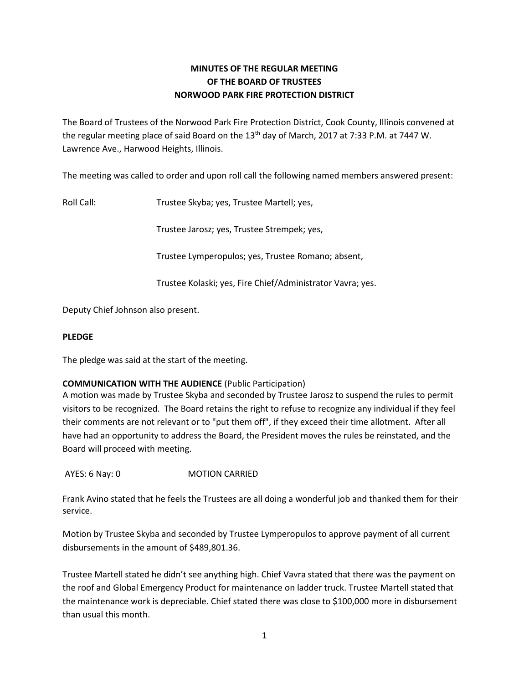# **MINUTES OF THE REGULAR MEETING OF THE BOARD OF TRUSTEES NORWOOD PARK FIRE PROTECTION DISTRICT**

The Board of Trustees of the Norwood Park Fire Protection District, Cook County, Illinois convened at the regular meeting place of said Board on the 13<sup>th</sup> day of March, 2017 at 7:33 P.M. at 7447 W. Lawrence Ave., Harwood Heights, Illinois.

The meeting was called to order and upon roll call the following named members answered present:

Roll Call: Trustee Skyba; yes, Trustee Martell; yes,

Trustee Jarosz; yes, Trustee Strempek; yes,

Trustee Lymperopulos; yes, Trustee Romano; absent,

Trustee Kolaski; yes, Fire Chief/Administrator Vavra; yes.

Deputy Chief Johnson also present.

# **PLEDGE**

The pledge was said at the start of the meeting.

# **COMMUNICATION WITH THE AUDIENCE** (Public Participation)

A motion was made by Trustee Skyba and seconded by Trustee Jarosz to suspend the rules to permit visitors to be recognized. The Board retains the right to refuse to recognize any individual if they feel their comments are not relevant or to "put them off", if they exceed their time allotment. After all have had an opportunity to address the Board, the President moves the rules be reinstated, and the Board will proceed with meeting.

AYES: 6 Nay: 0 MOTION CARRIED

Frank Avino stated that he feels the Trustees are all doing a wonderful job and thanked them for their service.

Motion by Trustee Skyba and seconded by Trustee Lymperopulos to approve payment of all current disbursements in the amount of \$489,801.36.

Trustee Martell stated he didn't see anything high. Chief Vavra stated that there was the payment on the roof and Global Emergency Product for maintenance on ladder truck. Trustee Martell stated that the maintenance work is depreciable. Chief stated there was close to \$100,000 more in disbursement than usual this month.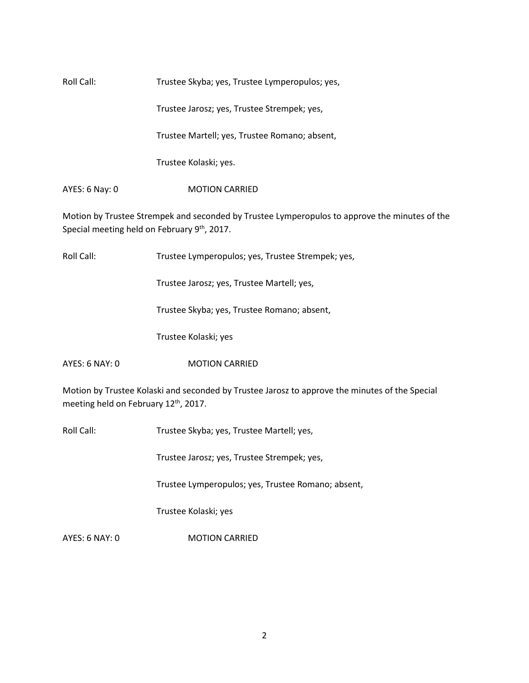| Roll Call:     | Trustee Skyba; yes, Trustee Lymperopulos; yes, |  |
|----------------|------------------------------------------------|--|
|                | Trustee Jarosz; yes, Trustee Strempek; yes,    |  |
|                | Trustee Martell; yes, Trustee Romano; absent,  |  |
|                | Trustee Kolaski; yes.                          |  |
| AYES: 6 Nay: 0 | <b>MOTION CARRIED</b>                          |  |

Motion by Trustee Strempek and seconded by Trustee Lymperopulos to approve the minutes of the Special meeting held on February 9<sup>th</sup>, 2017.

Roll Call: Trustee Lymperopulos; yes, Trustee Strempek; yes,

Trustee Jarosz; yes, Trustee Martell; yes,

Trustee Skyba; yes, Trustee Romano; absent,

Trustee Kolaski; yes

AYES: 6 NAY: 0 MOTION CARRIED

Motion by Trustee Kolaski and seconded by Trustee Jarosz to approve the minutes of the Special meeting held on February 12<sup>th</sup>, 2017.

Roll Call: Trustee Skyba; yes, Trustee Martell; yes,

Trustee Jarosz; yes, Trustee Strempek; yes,

Trustee Lymperopulos; yes, Trustee Romano; absent,

Trustee Kolaski; yes

AYES: 6 NAY: 0 MOTION CARRIED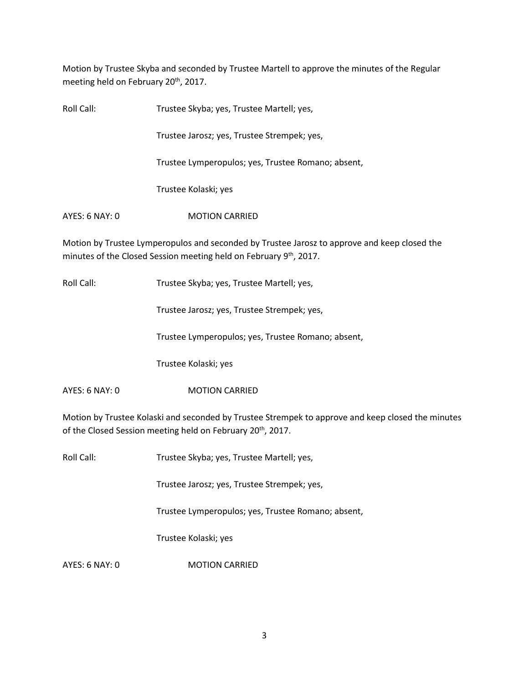Motion by Trustee Skyba and seconded by Trustee Martell to approve the minutes of the Regular meeting held on February 20<sup>th</sup>, 2017.

| Roll Call:     | Trustee Skyba; yes, Trustee Martell; yes,          |
|----------------|----------------------------------------------------|
|                | Trustee Jarosz; yes, Trustee Strempek; yes,        |
|                | Trustee Lymperopulos; yes, Trustee Romano; absent, |
|                | Trustee Kolaski; yes                               |
| AYES: 6 NAY: 0 | <b>MOTION CARRIED</b>                              |

Motion by Trustee Lymperopulos and seconded by Trustee Jarosz to approve and keep closed the minutes of the Closed Session meeting held on February 9<sup>th</sup>, 2017.

Roll Call: Trustee Skyba; yes, Trustee Martell; yes,

Trustee Jarosz; yes, Trustee Strempek; yes,

Trustee Lymperopulos; yes, Trustee Romano; absent,

Trustee Kolaski; yes

AYES: 6 NAY: 0 MOTION CARRIED

Motion by Trustee Kolaski and seconded by Trustee Strempek to approve and keep closed the minutes of the Closed Session meeting held on February 20<sup>th</sup>, 2017.

Roll Call: Trustee Skyba; yes, Trustee Martell; yes,

Trustee Jarosz; yes, Trustee Strempek; yes,

Trustee Lymperopulos; yes, Trustee Romano; absent,

Trustee Kolaski; yes

AYES: 6 NAY: 0 MOTION CARRIED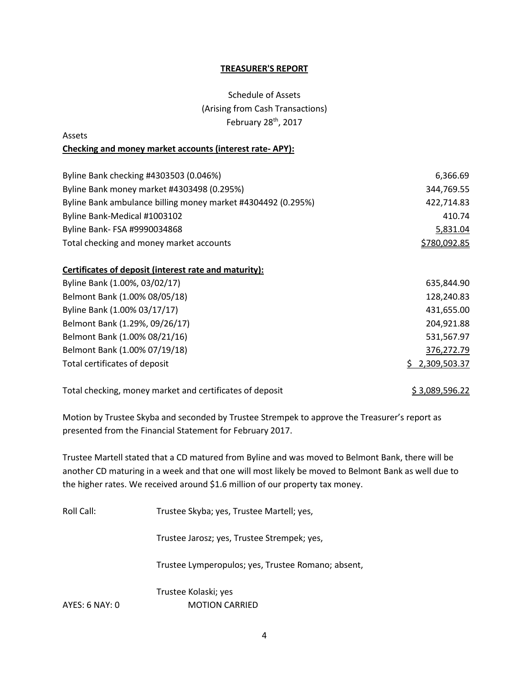#### **TREASURER'S REPORT**

# Schedule of Assets (Arising from Cash Transactions) February 28<sup>th</sup>, 2017

# Assets **Checking and money market accounts (interest rate- APY):**

| Byline Bank checking #4303503 (0.046%)                       | 6,366.69     |
|--------------------------------------------------------------|--------------|
| Byline Bank money market #4303498 (0.295%)                   | 344,769.55   |
| Byline Bank ambulance billing money market #4304492 (0.295%) | 422,714.83   |
| Byline Bank-Medical #1003102                                 | 410.74       |
| Byline Bank- FSA #9990034868                                 | 5,831.04     |
| Total checking and money market accounts                     | \$780,092.85 |

# **Certificates of deposit (interest rate and maturity):**

| Byline Bank (1.00%, 03/02/17)  | 635,844.90     |
|--------------------------------|----------------|
| Belmont Bank (1.00% 08/05/18)  | 128,240.83     |
| Byline Bank (1.00% 03/17/17)   | 431,655.00     |
| Belmont Bank (1.29%, 09/26/17) | 204,921.88     |
| Belmont Bank (1.00% 08/21/16)  | 531,567.97     |
| Belmont Bank (1.00% 07/19/18)  | 376,272.79     |
| Total certificates of deposit  | \$2,309,503.37 |

Total checking, money market and certificates of deposit  $\frac{\$ 3,089,596.22}{\$ 3,089,596.22}$ 

Motion by Trustee Skyba and seconded by Trustee Strempek to approve the Treasurer's report as presented from the Financial Statement for February 2017.

Trustee Martell stated that a CD matured from Byline and was moved to Belmont Bank, there will be another CD maturing in a week and that one will most likely be moved to Belmont Bank as well due to the higher rates. We received around \$1.6 million of our property tax money.

Roll Call: Trustee Skyba; yes, Trustee Martell; yes,

Trustee Jarosz; yes, Trustee Strempek; yes,

Trustee Lymperopulos; yes, Trustee Romano; absent,

Trustee Kolaski; yes AYES: 6 NAY: 0 MOTION CARRIED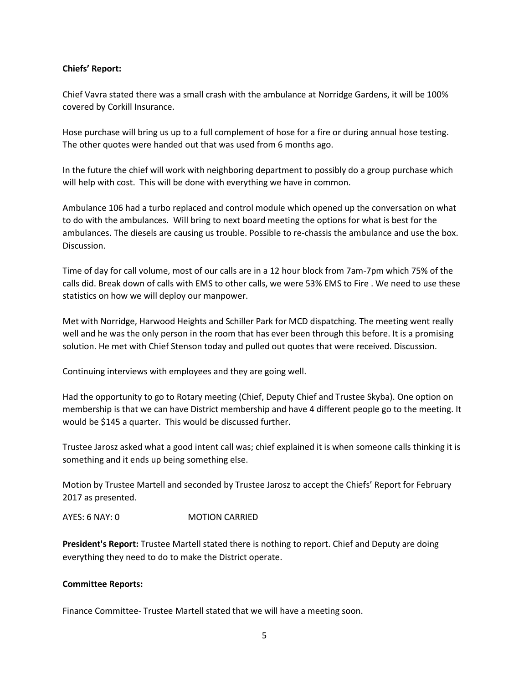# **Chiefs' Report:**

Chief Vavra stated there was a small crash with the ambulance at Norridge Gardens, it will be 100% covered by Corkill Insurance.

Hose purchase will bring us up to a full complement of hose for a fire or during annual hose testing. The other quotes were handed out that was used from 6 months ago.

In the future the chief will work with neighboring department to possibly do a group purchase which will help with cost. This will be done with everything we have in common.

Ambulance 106 had a turbo replaced and control module which opened up the conversation on what to do with the ambulances. Will bring to next board meeting the options for what is best for the ambulances. The diesels are causing us trouble. Possible to re-chassis the ambulance and use the box. Discussion.

Time of day for call volume, most of our calls are in a 12 hour block from 7am-7pm which 75% of the calls did. Break down of calls with EMS to other calls, we were 53% EMS to Fire . We need to use these statistics on how we will deploy our manpower.

Met with Norridge, Harwood Heights and Schiller Park for MCD dispatching. The meeting went really well and he was the only person in the room that has ever been through this before. It is a promising solution. He met with Chief Stenson today and pulled out quotes that were received. Discussion.

Continuing interviews with employees and they are going well.

Had the opportunity to go to Rotary meeting (Chief, Deputy Chief and Trustee Skyba). One option on membership is that we can have District membership and have 4 different people go to the meeting. It would be \$145 a quarter. This would be discussed further.

Trustee Jarosz asked what a good intent call was; chief explained it is when someone calls thinking it is something and it ends up being something else.

Motion by Trustee Martell and seconded by Trustee Jarosz to accept the Chiefs' Report for February 2017 as presented.

AYES: 6 NAY: 0 MOTION CARRIED

**President's Report:** Trustee Martell stated there is nothing to report. Chief and Deputy are doing everything they need to do to make the District operate.

# **Committee Reports:**

Finance Committee- Trustee Martell stated that we will have a meeting soon.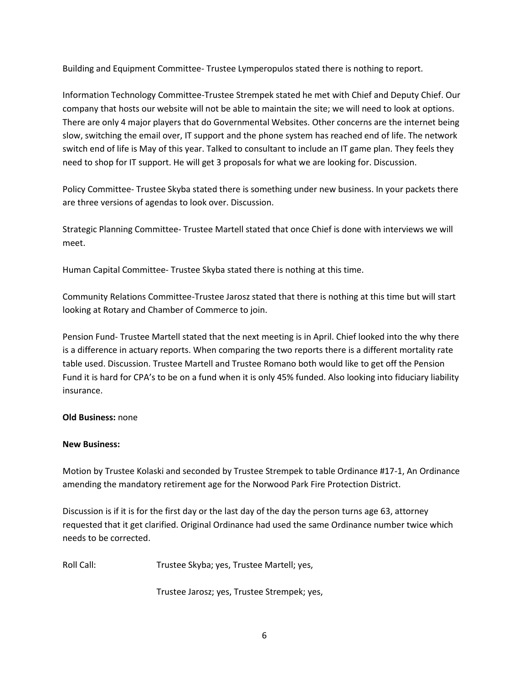Building and Equipment Committee- Trustee Lymperopulos stated there is nothing to report.

Information Technology Committee-Trustee Strempek stated he met with Chief and Deputy Chief. Our company that hosts our website will not be able to maintain the site; we will need to look at options. There are only 4 major players that do Governmental Websites. Other concerns are the internet being slow, switching the email over, IT support and the phone system has reached end of life. The network switch end of life is May of this year. Talked to consultant to include an IT game plan. They feels they need to shop for IT support. He will get 3 proposals for what we are looking for. Discussion.

Policy Committee- Trustee Skyba stated there is something under new business. In your packets there are three versions of agendas to look over. Discussion.

Strategic Planning Committee- Trustee Martell stated that once Chief is done with interviews we will meet.

Human Capital Committee- Trustee Skyba stated there is nothing at this time.

Community Relations Committee-Trustee Jarosz stated that there is nothing at this time but will start looking at Rotary and Chamber of Commerce to join.

Pension Fund- Trustee Martell stated that the next meeting is in April. Chief looked into the why there is a difference in actuary reports. When comparing the two reports there is a different mortality rate table used. Discussion. Trustee Martell and Trustee Romano both would like to get off the Pension Fund it is hard for CPA's to be on a fund when it is only 45% funded. Also looking into fiduciary liability insurance.

# **Old Business:** none

# **New Business:**

Motion by Trustee Kolaski and seconded by Trustee Strempek to table Ordinance #17-1, An Ordinance amending the mandatory retirement age for the Norwood Park Fire Protection District.

Discussion is if it is for the first day or the last day of the day the person turns age 63, attorney requested that it get clarified. Original Ordinance had used the same Ordinance number twice which needs to be corrected.

Roll Call: Trustee Skyba; yes, Trustee Martell; yes,

Trustee Jarosz; yes, Trustee Strempek; yes,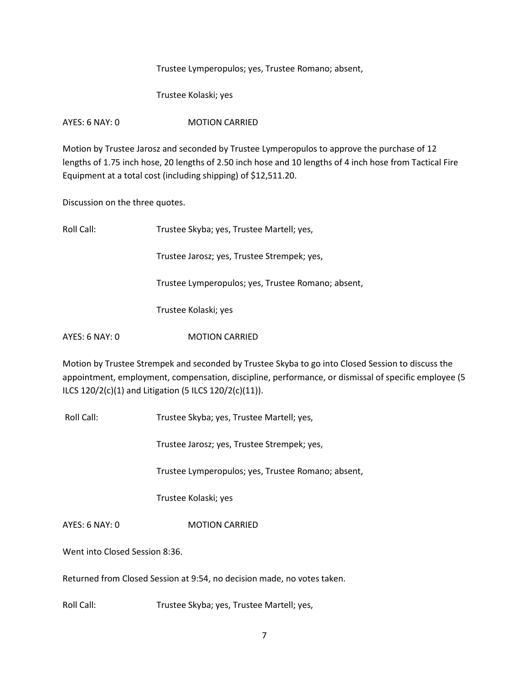Trustee Lymperopulos; yes, Trustee Romano; absent,

Trustee Kolaski; yes

AYES: 6 NAY: 0 MOTION CARRIED

Motion by Trustee Jarosz and seconded by Trustee Lymperopulos to approve the purchase of 12 lengths of 1.75 inch hose, 20 lengths of 2.50 inch hose and 10 lengths of 4 inch hose from Tactical Fire Equipment at a total cost (including shipping) of \$12,511.20.

Discussion on the three quotes.

| Roll Call:     | Trustee Skyba; yes, Trustee Martell; yes,          |
|----------------|----------------------------------------------------|
|                | Trustee Jarosz; yes, Trustee Strempek; yes,        |
|                | Trustee Lymperopulos; yes, Trustee Romano; absent, |
|                | Trustee Kolaski; yes                               |
| AYES: 6 NAY: 0 | <b>MOTION CARRIED</b>                              |
|                |                                                    |

Motion by Trustee Strempek and seconded by Trustee Skyba to go into Closed Session to discuss the appointment, employment, compensation, discipline, performance, or dismissal of specific employee (5 ILCS 120/2(c)(1) and Litigation (5 ILCS 120/2(c)(11)).

Roll Call: Trustee Skyba; yes, Trustee Martell; yes,

Trustee Jarosz; yes, Trustee Strempek; yes,

Trustee Lymperopulos; yes, Trustee Romano; absent,

Trustee Kolaski; yes

AYES: 6 NAY: 0 MOTION CARRIED

Went into Closed Session 8:36.

Returned from Closed Session at 9:54, no decision made, no votes taken.

Roll Call: Trustee Skyba; yes, Trustee Martell; yes,